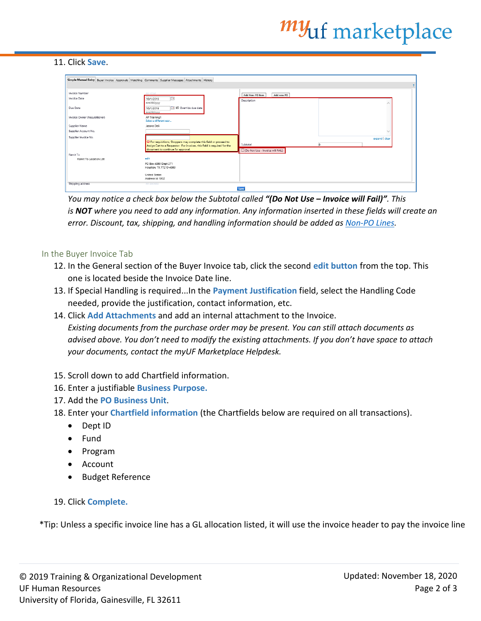## *my*uf marketplace

## 11. Click **Save**.

| Simple Manual Entry Buyer Invoice Approvals Matching Comments Supplier Messages Attachments History |                                                                                                                                                |                                    |  |
|-----------------------------------------------------------------------------------------------------|------------------------------------------------------------------------------------------------------------------------------------------------|------------------------------------|--|
|                                                                                                     |                                                                                                                                                |                                    |  |
| Invoice Number<br><b>Invoice Date</b>                                                               | no value<br>$\Box$ o<br>10/1/2019                                                                                                              | Add new PO<br>Add Non-PO Item      |  |
|                                                                                                     | mm/dd/yyyy                                                                                                                                     | Description                        |  |
| Due Date                                                                                            | <b>M</b> Override due date<br>10/1/2019<br>mm/dd/yyyy                                                                                          |                                    |  |
| Invoice Owner (Requisitioner)                                                                       | AP Training1<br>Select a different user                                                                                                        |                                    |  |
| Supplier Name                                                                                       | Jasons Deli                                                                                                                                    |                                    |  |
| Supplier Account No.                                                                                |                                                                                                                                                |                                    |  |
| Supplier Invoice No.                                                                                |                                                                                                                                                | expand   clear                     |  |
|                                                                                                     | O For requisitions, Shoppers may complete this field or proceed to<br>Assign Cart to a Requestor. For invoices, this field is required for the | Subtotal                           |  |
|                                                                                                     | document to continue for approval.                                                                                                             | D (Do Not Use - Invoice will FAIL) |  |
| Remit To                                                                                            |                                                                                                                                                |                                    |  |
| Remit To Location List                                                                              | edit                                                                                                                                           |                                    |  |
|                                                                                                     | PO Box 4869 Dept 271<br>Houston, TX 77210-4869                                                                                                 |                                    |  |
|                                                                                                     | United States                                                                                                                                  |                                    |  |
|                                                                                                     | Address Id 1002                                                                                                                                |                                    |  |
| Shipping address<br>no address                                                                      |                                                                                                                                                |                                    |  |
| Save                                                                                                |                                                                                                                                                |                                    |  |

*You may notice a check box below the Subtotal called "(Do Not Use – Invoice will Fail)". This is NOT where you need to add any information. Any information inserted in these fields will create an error. Discount, tax, shipping, and handling information should be added as [Non-PO Lines.](http://training.hr.ufl.edu/instructionguides/myuf_marketplace/add_non-PO_line.pdf)*

- In thg <sub>HH</sub> the General section of the Buyer Invoice tab, click the second edit button from the top. This one is located beside the Invoice Date line.
	- 13. If Special Handling is required...In the **Payment Justification** field, select the Handling Code needed, provide the justification, contact information, etc.
	- 14. Click **Add Attachments** and add an internal attachment to the Invoice. *Existing documents from the purchase order may be present. You can still attach documents as advised above. You don't need to modify the existing attachments. If you don't have space to attach your documents, contact the myUF Marketplace Helpdesk.*
	- 15. Scroll down to add Chartfield information.
	- 16. Enter a justifiable **Business Purpose.**
	- 17. Add the **PO Business Unit**.
	- 18. Enter your **Chartfield information** (the Chartfields below are required on all transactions).
		- Dept ID
		- Fund
		- Program
		- Account
		- Budget Reference

19. Click **Complete: By Click This Button, You Acknowledge Receipt Of Goods And Services On Behalf of UF**

\*Tip: Unless a specific invoice line has a GL allocation listed, it will use the invoice header to pay the invoice line